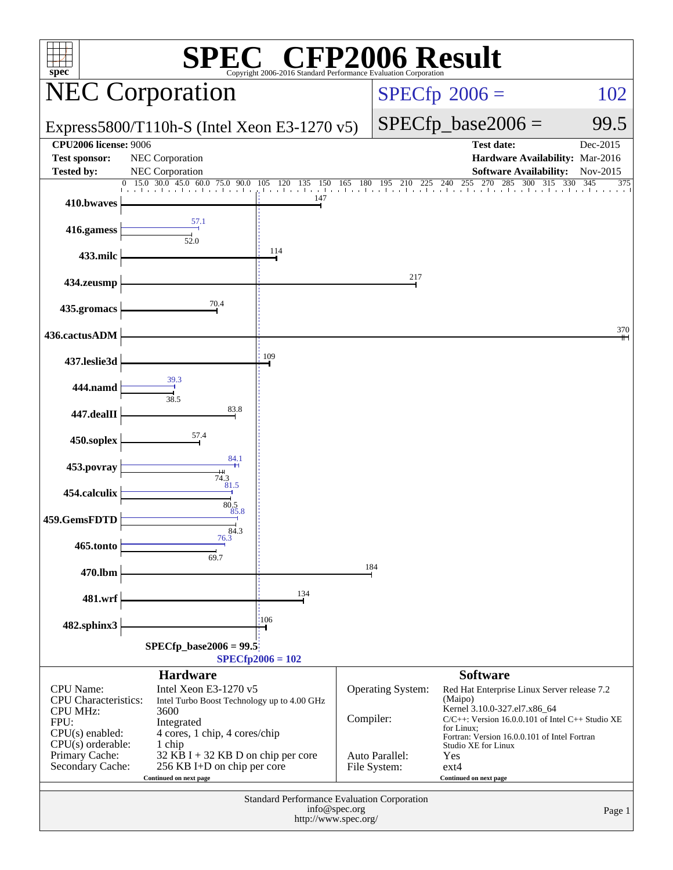| spec®                                                                                                                                    |                                                                                                                                                                             | <sup>®</sup> CFI<br>Copyright 2006-2016 Standard Performance Evaluation Corporatio |               |                                     | P2006 Result                                                                                                                                                                                                                           |                   |
|------------------------------------------------------------------------------------------------------------------------------------------|-----------------------------------------------------------------------------------------------------------------------------------------------------------------------------|------------------------------------------------------------------------------------|---------------|-------------------------------------|----------------------------------------------------------------------------------------------------------------------------------------------------------------------------------------------------------------------------------------|-------------------|
|                                                                                                                                          | <b>NEC Corporation</b>                                                                                                                                                      |                                                                                    |               |                                     | $SPECfp^{\circ}2006 =$                                                                                                                                                                                                                 | 102               |
|                                                                                                                                          | Express5800/T110h-S (Intel Xeon E3-1270 v5)                                                                                                                                 |                                                                                    |               |                                     | $SPECfp\_base2006 =$                                                                                                                                                                                                                   | 99.5              |
| <b>CPU2006 license: 9006</b>                                                                                                             |                                                                                                                                                                             |                                                                                    |               |                                     | <b>Test date:</b>                                                                                                                                                                                                                      | Dec-2015          |
| <b>Test sponsor:</b><br><b>Tested by:</b>                                                                                                | NEC Corporation<br>NEC Corporation                                                                                                                                          |                                                                                    |               |                                     | Hardware Availability: Mar-2016<br><b>Software Availability:</b>                                                                                                                                                                       | Nov-2015          |
|                                                                                                                                          | 0, 15.0, 30.0, 45.0<br>60.0 75.0 90.0                                                                                                                                       | 120 135 150<br>105                                                                 |               |                                     | 165 180 195 210 225 240 255 270 285 300 315                                                                                                                                                                                            | 330<br>345<br>375 |
| 410.bwaves                                                                                                                               |                                                                                                                                                                             | and the collection of<br>147                                                       |               |                                     |                                                                                                                                                                                                                                        |                   |
| 416.gamess                                                                                                                               | 57.1<br>52.0                                                                                                                                                                |                                                                                    |               |                                     |                                                                                                                                                                                                                                        |                   |
| 433.milc                                                                                                                                 |                                                                                                                                                                             | 114                                                                                |               |                                     |                                                                                                                                                                                                                                        |                   |
| 434.zeusmp                                                                                                                               |                                                                                                                                                                             |                                                                                    |               | 217                                 |                                                                                                                                                                                                                                        |                   |
| 435.gromacs                                                                                                                              | 70.4                                                                                                                                                                        |                                                                                    |               |                                     |                                                                                                                                                                                                                                        |                   |
| 436.cactusADM                                                                                                                            |                                                                                                                                                                             | 109                                                                                |               |                                     |                                                                                                                                                                                                                                        | 370               |
| 437.leslie3d                                                                                                                             | 39.3                                                                                                                                                                        |                                                                                    |               |                                     |                                                                                                                                                                                                                                        |                   |
| 444.namd                                                                                                                                 | 38.5<br>83.8                                                                                                                                                                |                                                                                    |               |                                     |                                                                                                                                                                                                                                        |                   |
| 447.dealII<br>450.soplex                                                                                                                 | 57.4                                                                                                                                                                        |                                                                                    |               |                                     |                                                                                                                                                                                                                                        |                   |
| 453.povray                                                                                                                               | 84.1                                                                                                                                                                        |                                                                                    |               |                                     |                                                                                                                                                                                                                                        |                   |
| 454.calculix                                                                                                                             | $74.3$<br>$81.5$                                                                                                                                                            |                                                                                    |               |                                     |                                                                                                                                                                                                                                        |                   |
| 459.GemsFDTD                                                                                                                             | 80.5<br>85.8                                                                                                                                                                |                                                                                    |               |                                     |                                                                                                                                                                                                                                        |                   |
| 465.tonto                                                                                                                                | 84.3<br>76.3                                                                                                                                                                |                                                                                    |               |                                     |                                                                                                                                                                                                                                        |                   |
| 470.lbm                                                                                                                                  | 69.7                                                                                                                                                                        |                                                                                    | 184           |                                     |                                                                                                                                                                                                                                        |                   |
| 481.wrf                                                                                                                                  |                                                                                                                                                                             | 134                                                                                |               |                                     |                                                                                                                                                                                                                                        |                   |
| 482.sphinx3                                                                                                                              |                                                                                                                                                                             | 106                                                                                |               |                                     |                                                                                                                                                                                                                                        |                   |
|                                                                                                                                          | $SPECfp\_base2006 = 99.5$                                                                                                                                                   | $SPECfp2006 = 102$                                                                 |               |                                     |                                                                                                                                                                                                                                        |                   |
|                                                                                                                                          | <b>Hardware</b>                                                                                                                                                             |                                                                                    |               |                                     | <b>Software</b>                                                                                                                                                                                                                        |                   |
| <b>CPU</b> Name:<br><b>CPU</b> Characteristics:<br><b>CPU MHz:</b><br>FPU:<br>$CPU(s)$ enabled:<br>$CPU(s)$ orderable:<br>Primary Cache: | Intel Xeon E3-1270 v5<br>Intel Turbo Boost Technology up to 4.00 GHz<br>3600<br>Integrated<br>4 cores, 1 chip, 4 cores/chip<br>1 chip<br>32 KB I + 32 KB D on chip per core |                                                                                    | Compiler:     | Operating System:<br>Auto Parallel: | Red Hat Enterprise Linux Server release 7.2<br>(Maipo)<br>Kernel 3.10.0-327.el7.x86_64<br>C/C++: Version 16.0.0.101 of Intel C++ Studio XE<br>for Linux;<br>Fortran: Version 16.0.0.101 of Intel Fortran<br>Studio XE for Linux<br>Yes |                   |
| Secondary Cache:                                                                                                                         | 256 KB I+D on chip per core<br>Continued on next page                                                                                                                       |                                                                                    |               | File System:                        | $ext{4}$<br>Continued on next page                                                                                                                                                                                                     |                   |
|                                                                                                                                          |                                                                                                                                                                             | Standard Performance Evaluation Corporation<br>http://www.spec.org/                | info@spec.org |                                     |                                                                                                                                                                                                                                        | Page 1            |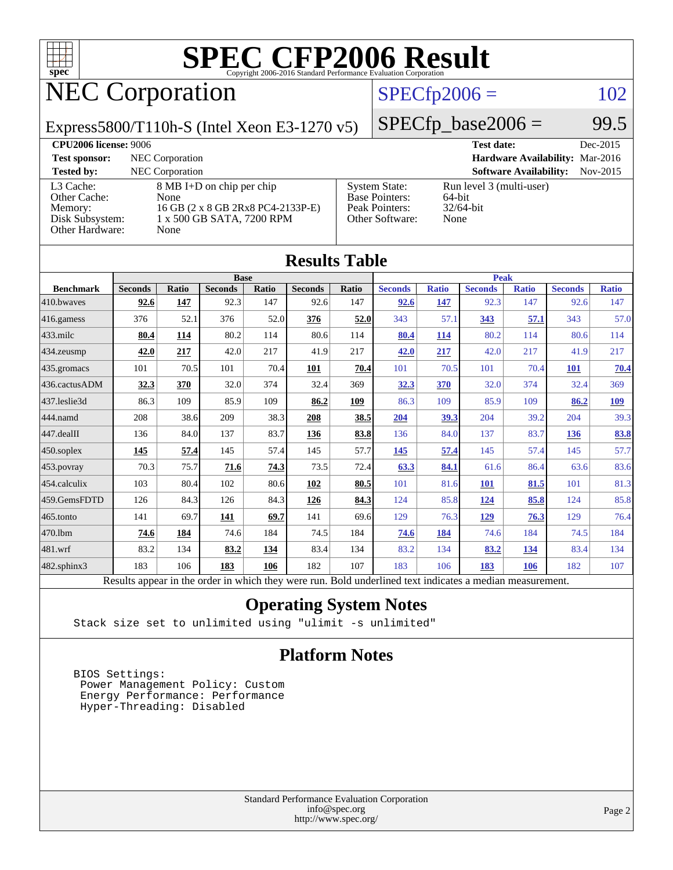

## NEC Corporation

### $SPECfp2006 = 102$  $SPECfp2006 = 102$

Express5800/T110h-S (Intel Xeon E3-1270 v5)

 $SPECTp\_base2006 = 99.5$ 

| <b>CPU2006 license: 9006</b>                                               |                                                                                                             |                                                                                    | <b>Test date:</b>                                          | Dec-2015 |
|----------------------------------------------------------------------------|-------------------------------------------------------------------------------------------------------------|------------------------------------------------------------------------------------|------------------------------------------------------------|----------|
| <b>Test sponsor:</b>                                                       | NEC Corporation                                                                                             |                                                                                    | Hardware Availability: Mar-2016                            |          |
| <b>Tested by:</b>                                                          | NEC Corporation                                                                                             |                                                                                    | <b>Software Availability:</b>                              | Nov-2015 |
| L3 Cache:<br>Other Cache:<br>Memory:<br>Disk Subsystem:<br>Other Hardware: | 8 MB I+D on chip per chip<br>None<br>16 GB (2 x 8 GB 2Rx8 PC4-2133P-E)<br>1 x 500 GB SATA, 7200 RPM<br>None | <b>System State:</b><br><b>Base Pointers:</b><br>Peak Pointers:<br>Other Software: | Run level 3 (multi-user)<br>64-bit<br>$32/64$ -bit<br>None |          |

|                   |                                                                                                          |              |                |       | <b>Results Table</b> |             |                |              |                |              |                |              |
|-------------------|----------------------------------------------------------------------------------------------------------|--------------|----------------|-------|----------------------|-------------|----------------|--------------|----------------|--------------|----------------|--------------|
|                   | <b>Base</b>                                                                                              |              |                |       |                      | <b>Peak</b> |                |              |                |              |                |              |
| <b>Benchmark</b>  | <b>Seconds</b>                                                                                           | <b>Ratio</b> | <b>Seconds</b> | Ratio | <b>Seconds</b>       | Ratio       | <b>Seconds</b> | <b>Ratio</b> | <b>Seconds</b> | <b>Ratio</b> | <b>Seconds</b> | <b>Ratio</b> |
| 410.bwayes        | 92.6                                                                                                     | 147          | 92.3           | 147   | 92.6                 | 147         | 92.6           | 147          | 92.3           | 147          | 92.6           | 147          |
| 416.gamess        | 376                                                                                                      | 52.1         | 376            | 52.0  | 376                  | 52.0        | 343            | 57.1         | 343            | 57.1         | 343            | 57.0         |
| $433$ .milc       | 80.4                                                                                                     | 114          | 80.2           | 114   | 80.6                 | 114         | 80.4           | 114          | 80.2           | 114          | 80.6           | 114          |
| 434.zeusmp        | 42.0                                                                                                     | 217          | 42.0           | 217   | 41.9                 | 217         | 42.0           | 217          | 42.0           | 217          | 41.9           | 217          |
| 435 gromacs       | 101                                                                                                      | 70.5         | 101            | 70.4  | 101                  | 70.4        | 101            | 70.5         | 101            | 70.4         | <b>101</b>     | 70.4         |
| 436.cactusADM     | 32.3                                                                                                     | 370          | 32.0           | 374   | 32.4                 | 369         | 32.3           | 370          | 32.0           | 374          | 32.4           | 369          |
| 437.leslie3d      | 86.3                                                                                                     | 109          | 85.9           | 109   | 86.2                 | 109         | 86.3           | 109          | 85.9           | 109          | 86.2           | <u>109</u>   |
| 444.namd          | 208                                                                                                      | 38.6         | 209            | 38.3  | 208                  | 38.5        | 204            | 39.3         | 204            | 39.2         | 204            | 39.3         |
| 447.dealII        | 136                                                                                                      | 84.0         | 137            | 83.7  | 136                  | 83.8        | 136            | 84.0         | 137            | 83.7         | 136            | 83.8         |
| $450$ .soplex     | 145                                                                                                      | 57.4         | 145            | 57.4  | 145                  | 57.7        | 145            | 57.4         | 145            | 57.4         | 145            | 57.7         |
| 453.povray        | 70.3                                                                                                     | 75.7         | 71.6           | 74.3  | 73.5                 | 72.4        | 63.3           | 84.1         | 61.6           | 86.4         | 63.6           | 83.6         |
| 454.calculix      | 103                                                                                                      | 80.4         | 102            | 80.6  | 102                  | 80.5        | 101            | 81.6         | <b>101</b>     | 81.5         | 101            | 81.3         |
| 459.GemsFDTD      | 126                                                                                                      | 84.3         | 126            | 84.3  | 126                  | 84.3        | 124            | 85.8         | 124            | 85.8         | 124            | 85.8         |
| 465.tonto         | 141                                                                                                      | 69.7         | 141            | 69.7  | 141                  | 69.6        | 129            | 76.3         | 129            | 76.3         | 129            | 76.4         |
| 470.1bm           | 74.6                                                                                                     | 184          | 74.6           | 184   | 74.5                 | 184         | 74.6           | 184          | 74.6           | 184          | 74.5           | 184          |
| 481.wrf           | 83.2                                                                                                     | 134          | 83.2           | 134   | 83.4                 | 134         | 83.2           | 134          | 83.2           | 134          | 83.4           | 134          |
| $482$ .sphinx $3$ | 183                                                                                                      | 106          | 183            | 106   | 182                  | 107         | 183            | 106          | 183            | 106          | 182            | 107          |
|                   | Results appear in the order in which they were run. Bold underlined text indicates a median measurement. |              |                |       |                      |             |                |              |                |              |                |              |

### **[Operating System Notes](http://www.spec.org/auto/cpu2006/Docs/result-fields.html#OperatingSystemNotes)**

Stack size set to unlimited using "ulimit -s unlimited"

### **[Platform Notes](http://www.spec.org/auto/cpu2006/Docs/result-fields.html#PlatformNotes)**

 BIOS Settings: Power Management Policy: Custom Energy Performance: Performance Hyper-Threading: Disabled

> Standard Performance Evaluation Corporation [info@spec.org](mailto:info@spec.org) <http://www.spec.org/>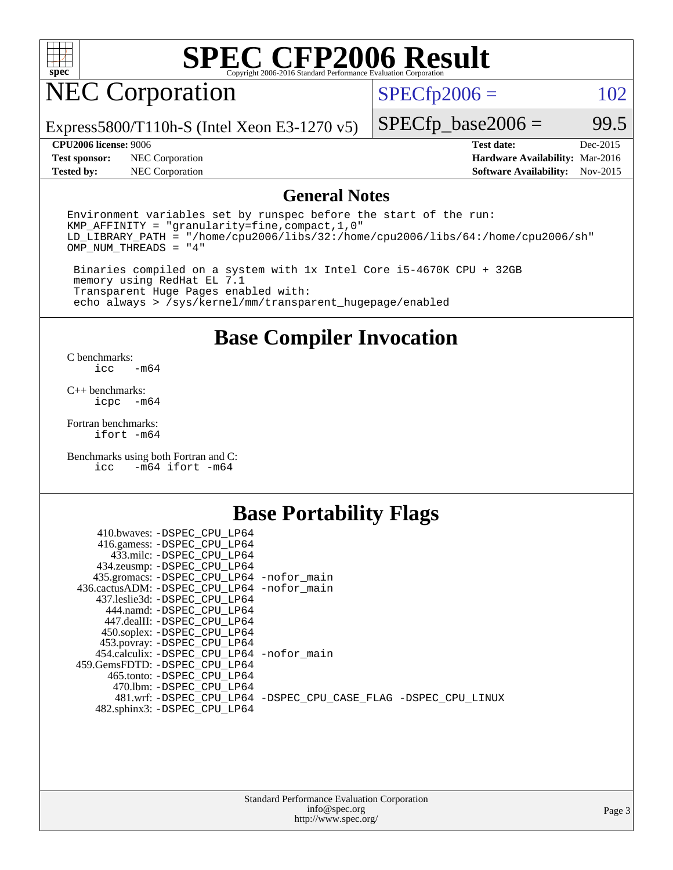

## NEC Corporation

 $SPECTp2006 = 102$ 

Express5800/T110h-S (Intel Xeon E3-1270 v5)

**[Test sponsor:](http://www.spec.org/auto/cpu2006/Docs/result-fields.html#Testsponsor)** NEC Corporation **[Hardware Availability:](http://www.spec.org/auto/cpu2006/Docs/result-fields.html#HardwareAvailability)** Mar-2016

 $SPECTp\_base2006 = 99.5$ **[CPU2006 license:](http://www.spec.org/auto/cpu2006/Docs/result-fields.html#CPU2006license)** 9006 **[Test date:](http://www.spec.org/auto/cpu2006/Docs/result-fields.html#Testdate)** Dec-2015

**[Tested by:](http://www.spec.org/auto/cpu2006/Docs/result-fields.html#Testedby)** NEC Corporation **[Software Availability:](http://www.spec.org/auto/cpu2006/Docs/result-fields.html#SoftwareAvailability)** Nov-2015

### **[General Notes](http://www.spec.org/auto/cpu2006/Docs/result-fields.html#GeneralNotes)**

Environment variables set by runspec before the start of the run: KMP\_AFFINITY = "granularity=fine,compact,1,0" LD\_LIBRARY\_PATH = "/home/cpu2006/libs/32:/home/cpu2006/libs/64:/home/cpu2006/sh" OMP\_NUM\_THREADS = "4"

 Binaries compiled on a system with 1x Intel Core i5-4670K CPU + 32GB memory using RedHat EL 7.1 Transparent Huge Pages enabled with: echo always > /sys/kernel/mm/transparent\_hugepage/enabled

### **[Base Compiler Invocation](http://www.spec.org/auto/cpu2006/Docs/result-fields.html#BaseCompilerInvocation)**

[C benchmarks](http://www.spec.org/auto/cpu2006/Docs/result-fields.html#Cbenchmarks):  $-m64$ 

[C++ benchmarks:](http://www.spec.org/auto/cpu2006/Docs/result-fields.html#CXXbenchmarks) [icpc -m64](http://www.spec.org/cpu2006/results/res2016q1/cpu2006-20160125-38918.flags.html#user_CXXbase_intel_icpc_64bit_bedb90c1146cab66620883ef4f41a67e)

[Fortran benchmarks](http://www.spec.org/auto/cpu2006/Docs/result-fields.html#Fortranbenchmarks): [ifort -m64](http://www.spec.org/cpu2006/results/res2016q1/cpu2006-20160125-38918.flags.html#user_FCbase_intel_ifort_64bit_ee9d0fb25645d0210d97eb0527dcc06e)

[Benchmarks using both Fortran and C](http://www.spec.org/auto/cpu2006/Docs/result-fields.html#BenchmarksusingbothFortranandC): [icc -m64](http://www.spec.org/cpu2006/results/res2016q1/cpu2006-20160125-38918.flags.html#user_CC_FCbase_intel_icc_64bit_0b7121f5ab7cfabee23d88897260401c) [ifort -m64](http://www.spec.org/cpu2006/results/res2016q1/cpu2006-20160125-38918.flags.html#user_CC_FCbase_intel_ifort_64bit_ee9d0fb25645d0210d97eb0527dcc06e)

### **[Base Portability Flags](http://www.spec.org/auto/cpu2006/Docs/result-fields.html#BasePortabilityFlags)**

| 410.bwaves: -DSPEC CPU LP64                 |                                                                |
|---------------------------------------------|----------------------------------------------------------------|
| 416.gamess: -DSPEC_CPU_LP64                 |                                                                |
| 433.milc: -DSPEC CPU LP64                   |                                                                |
| 434.zeusmp: -DSPEC_CPU_LP64                 |                                                                |
| 435.gromacs: -DSPEC_CPU_LP64 -nofor_main    |                                                                |
| 436.cactusADM: -DSPEC CPU LP64 -nofor main  |                                                                |
| 437.leslie3d: -DSPEC CPU LP64               |                                                                |
| 444.namd: -DSPEC CPU LP64                   |                                                                |
| 447.dealII: -DSPEC CPU LP64                 |                                                                |
| 450.soplex: -DSPEC_CPU_LP64                 |                                                                |
| 453.povray: -DSPEC_CPU_LP64                 |                                                                |
| 454.calculix: - DSPEC CPU LP64 - nofor main |                                                                |
| 459. GemsFDTD: - DSPEC CPU LP64             |                                                                |
| 465.tonto: - DSPEC CPU LP64                 |                                                                |
| 470.1bm: - DSPEC CPU LP64                   |                                                                |
|                                             | 481.wrf: -DSPEC_CPU_LP64 -DSPEC_CPU_CASE_FLAG -DSPEC_CPU_LINUX |
| 482.sphinx3: -DSPEC_CPU_LP64                |                                                                |
|                                             |                                                                |

| <b>Standard Performance Evaluation Corporation</b> |
|----------------------------------------------------|
| info@spec.org                                      |
| http://www.spec.org/                               |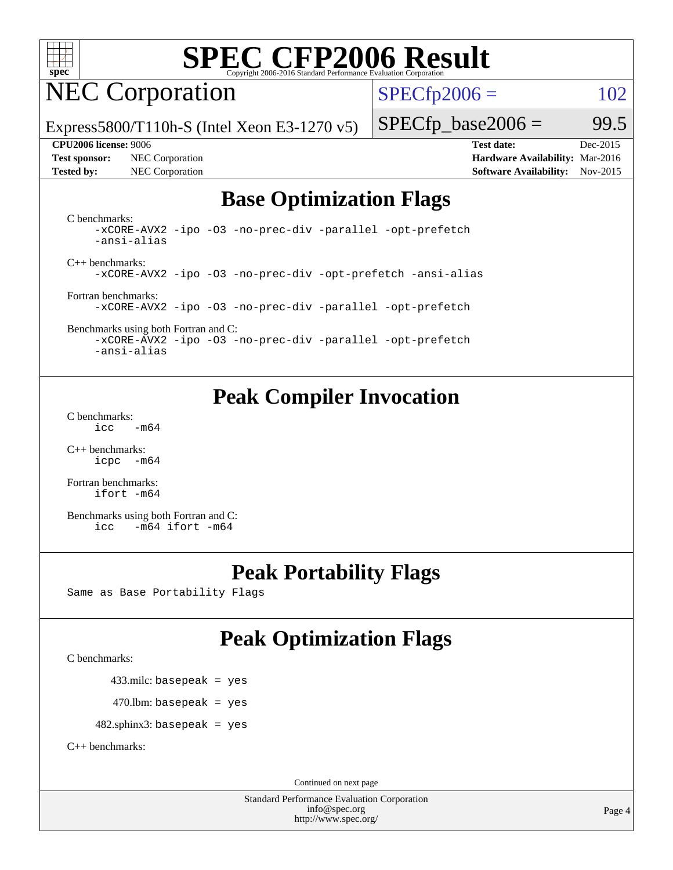

## NEC Corporation

 $SPECTp2006 = 102$ 

Express5800/T110h-S (Intel Xeon E3-1270 v5)

#### **[CPU2006 license:](http://www.spec.org/auto/cpu2006/Docs/result-fields.html#CPU2006license)** 9006 **[Test date:](http://www.spec.org/auto/cpu2006/Docs/result-fields.html#Testdate)** Dec-2015

**[Test sponsor:](http://www.spec.org/auto/cpu2006/Docs/result-fields.html#Testsponsor)** NEC Corporation **[Hardware Availability:](http://www.spec.org/auto/cpu2006/Docs/result-fields.html#HardwareAvailability)** Mar-2016

 $SPECTp\_base2006 = 99.5$ 

**[Tested by:](http://www.spec.org/auto/cpu2006/Docs/result-fields.html#Testedby)** NEC Corporation **[Software Availability:](http://www.spec.org/auto/cpu2006/Docs/result-fields.html#SoftwareAvailability)** Nov-2015

### **[Base Optimization Flags](http://www.spec.org/auto/cpu2006/Docs/result-fields.html#BaseOptimizationFlags)**

[C benchmarks](http://www.spec.org/auto/cpu2006/Docs/result-fields.html#Cbenchmarks): [-xCORE-AVX2](http://www.spec.org/cpu2006/results/res2016q1/cpu2006-20160125-38918.flags.html#user_CCbase_f-xAVX2_5f5fc0cbe2c9f62c816d3e45806c70d7) [-ipo](http://www.spec.org/cpu2006/results/res2016q1/cpu2006-20160125-38918.flags.html#user_CCbase_f-ipo) [-O3](http://www.spec.org/cpu2006/results/res2016q1/cpu2006-20160125-38918.flags.html#user_CCbase_f-O3) [-no-prec-div](http://www.spec.org/cpu2006/results/res2016q1/cpu2006-20160125-38918.flags.html#user_CCbase_f-no-prec-div) [-parallel](http://www.spec.org/cpu2006/results/res2016q1/cpu2006-20160125-38918.flags.html#user_CCbase_f-parallel) [-opt-prefetch](http://www.spec.org/cpu2006/results/res2016q1/cpu2006-20160125-38918.flags.html#user_CCbase_f-opt-prefetch) [-ansi-alias](http://www.spec.org/cpu2006/results/res2016q1/cpu2006-20160125-38918.flags.html#user_CCbase_f-ansi-alias)

[C++ benchmarks:](http://www.spec.org/auto/cpu2006/Docs/result-fields.html#CXXbenchmarks) [-xCORE-AVX2](http://www.spec.org/cpu2006/results/res2016q1/cpu2006-20160125-38918.flags.html#user_CXXbase_f-xAVX2_5f5fc0cbe2c9f62c816d3e45806c70d7) [-ipo](http://www.spec.org/cpu2006/results/res2016q1/cpu2006-20160125-38918.flags.html#user_CXXbase_f-ipo) [-O3](http://www.spec.org/cpu2006/results/res2016q1/cpu2006-20160125-38918.flags.html#user_CXXbase_f-O3) [-no-prec-div](http://www.spec.org/cpu2006/results/res2016q1/cpu2006-20160125-38918.flags.html#user_CXXbase_f-no-prec-div) [-opt-prefetch](http://www.spec.org/cpu2006/results/res2016q1/cpu2006-20160125-38918.flags.html#user_CXXbase_f-opt-prefetch) [-ansi-alias](http://www.spec.org/cpu2006/results/res2016q1/cpu2006-20160125-38918.flags.html#user_CXXbase_f-ansi-alias)

[Fortran benchmarks](http://www.spec.org/auto/cpu2006/Docs/result-fields.html#Fortranbenchmarks): [-xCORE-AVX2](http://www.spec.org/cpu2006/results/res2016q1/cpu2006-20160125-38918.flags.html#user_FCbase_f-xAVX2_5f5fc0cbe2c9f62c816d3e45806c70d7) [-ipo](http://www.spec.org/cpu2006/results/res2016q1/cpu2006-20160125-38918.flags.html#user_FCbase_f-ipo) [-O3](http://www.spec.org/cpu2006/results/res2016q1/cpu2006-20160125-38918.flags.html#user_FCbase_f-O3) [-no-prec-div](http://www.spec.org/cpu2006/results/res2016q1/cpu2006-20160125-38918.flags.html#user_FCbase_f-no-prec-div) [-parallel](http://www.spec.org/cpu2006/results/res2016q1/cpu2006-20160125-38918.flags.html#user_FCbase_f-parallel) [-opt-prefetch](http://www.spec.org/cpu2006/results/res2016q1/cpu2006-20160125-38918.flags.html#user_FCbase_f-opt-prefetch)

[Benchmarks using both Fortran and C](http://www.spec.org/auto/cpu2006/Docs/result-fields.html#BenchmarksusingbothFortranandC): [-xCORE-AVX2](http://www.spec.org/cpu2006/results/res2016q1/cpu2006-20160125-38918.flags.html#user_CC_FCbase_f-xAVX2_5f5fc0cbe2c9f62c816d3e45806c70d7) [-ipo](http://www.spec.org/cpu2006/results/res2016q1/cpu2006-20160125-38918.flags.html#user_CC_FCbase_f-ipo) [-O3](http://www.spec.org/cpu2006/results/res2016q1/cpu2006-20160125-38918.flags.html#user_CC_FCbase_f-O3) [-no-prec-div](http://www.spec.org/cpu2006/results/res2016q1/cpu2006-20160125-38918.flags.html#user_CC_FCbase_f-no-prec-div) [-parallel](http://www.spec.org/cpu2006/results/res2016q1/cpu2006-20160125-38918.flags.html#user_CC_FCbase_f-parallel) [-opt-prefetch](http://www.spec.org/cpu2006/results/res2016q1/cpu2006-20160125-38918.flags.html#user_CC_FCbase_f-opt-prefetch)

[-ansi-alias](http://www.spec.org/cpu2006/results/res2016q1/cpu2006-20160125-38918.flags.html#user_CC_FCbase_f-ansi-alias)

### **[Peak Compiler Invocation](http://www.spec.org/auto/cpu2006/Docs/result-fields.html#PeakCompilerInvocation)**

[C benchmarks](http://www.spec.org/auto/cpu2006/Docs/result-fields.html#Cbenchmarks):  $\text{icc}$   $-\text{m64}$ 

[C++ benchmarks:](http://www.spec.org/auto/cpu2006/Docs/result-fields.html#CXXbenchmarks) [icpc -m64](http://www.spec.org/cpu2006/results/res2016q1/cpu2006-20160125-38918.flags.html#user_CXXpeak_intel_icpc_64bit_bedb90c1146cab66620883ef4f41a67e)

[Fortran benchmarks](http://www.spec.org/auto/cpu2006/Docs/result-fields.html#Fortranbenchmarks): [ifort -m64](http://www.spec.org/cpu2006/results/res2016q1/cpu2006-20160125-38918.flags.html#user_FCpeak_intel_ifort_64bit_ee9d0fb25645d0210d97eb0527dcc06e)

[Benchmarks using both Fortran and C](http://www.spec.org/auto/cpu2006/Docs/result-fields.html#BenchmarksusingbothFortranandC): [icc -m64](http://www.spec.org/cpu2006/results/res2016q1/cpu2006-20160125-38918.flags.html#user_CC_FCpeak_intel_icc_64bit_0b7121f5ab7cfabee23d88897260401c) [ifort -m64](http://www.spec.org/cpu2006/results/res2016q1/cpu2006-20160125-38918.flags.html#user_CC_FCpeak_intel_ifort_64bit_ee9d0fb25645d0210d97eb0527dcc06e)

### **[Peak Portability Flags](http://www.spec.org/auto/cpu2006/Docs/result-fields.html#PeakPortabilityFlags)**

Same as Base Portability Flags

### **[Peak Optimization Flags](http://www.spec.org/auto/cpu2006/Docs/result-fields.html#PeakOptimizationFlags)**

[C benchmarks](http://www.spec.org/auto/cpu2006/Docs/result-fields.html#Cbenchmarks):

433.milc: basepeak = yes

 $470$ .lbm: basepeak = yes

482.sphinx3: basepeak = yes

[C++ benchmarks:](http://www.spec.org/auto/cpu2006/Docs/result-fields.html#CXXbenchmarks)

Continued on next page

Standard Performance Evaluation Corporation [info@spec.org](mailto:info@spec.org) <http://www.spec.org/>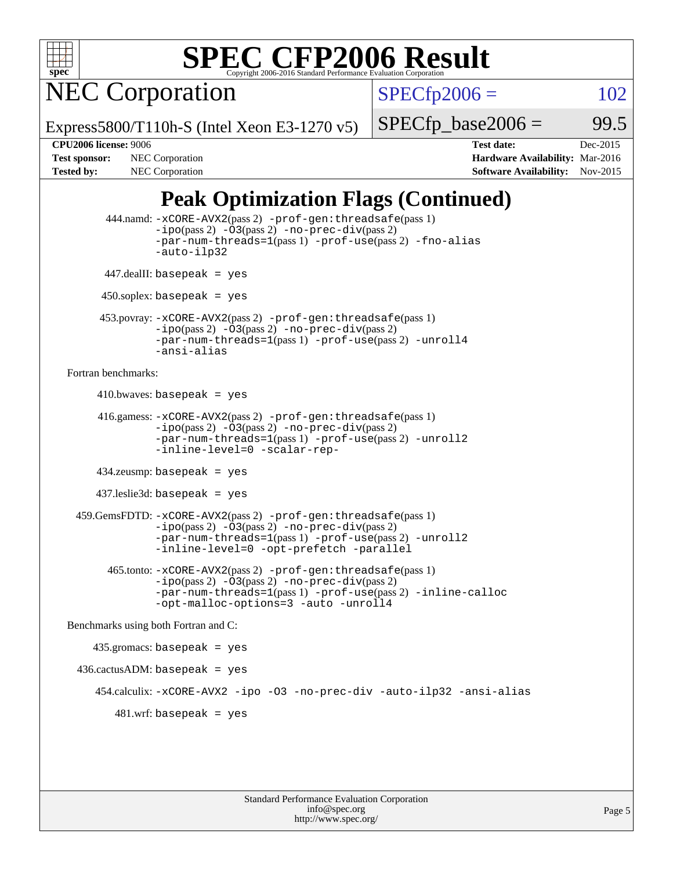

NEC Corporation

 $SPECTp2006 = 102$ 

Express5800/T110h-S (Intel Xeon E3-1270 v5)

 $SPECTp\_base2006 = 99.5$ 

**[CPU2006 license:](http://www.spec.org/auto/cpu2006/Docs/result-fields.html#CPU2006license)** 9006 **[Test date:](http://www.spec.org/auto/cpu2006/Docs/result-fields.html#Testdate)** Dec-2015 **[Test sponsor:](http://www.spec.org/auto/cpu2006/Docs/result-fields.html#Testsponsor)** NEC Corporation **NEC Corporation [Hardware Availability:](http://www.spec.org/auto/cpu2006/Docs/result-fields.html#HardwareAvailability)** Mar-2016 [Tested by:](http://www.spec.org/auto/cpu2006/Docs/result-fields.html#Testedby) NEC Corporation **[Software Availability:](http://www.spec.org/auto/cpu2006/Docs/result-fields.html#SoftwareAvailability)** Nov-2015

### **[Peak Optimization Flags \(Continued\)](http://www.spec.org/auto/cpu2006/Docs/result-fields.html#PeakOptimizationFlags)**

```
 444.namd: -xCORE-AVX2(pass 2) -prof-gen:threadsafe(pass 1)
               -ipo(pass 2) -03(pass 2) -no-prec-div(pass 2)
               -par-num-threads=1(pass 1) -prof-use(pass 2) -fno-alias
               -auto-ilp32
      447.dealII: basepeak = yes
       450.soplex: basepeak = yes
      453.povray: -xCORE-AVX2(pass 2) -prof-gen:threadsafe(pass 1)
               -no-prec-div(pass 2)-par-num-threads=1(pass 1) -prof-use(pass 2) -unroll4
               -ansi-alias
Fortran benchmarks: 
     410.bwaves: basepeak = yes 416.gamess: -xCORE-AVX2(pass 2) -prof-gen:threadsafe(pass 1)
               -ipo(pass 2) -03(pass 2) -no-prec-div(pass 2)-par-num-threads=1(pass 1) -prof-use(pass 2) -unroll2
               -inline-level=0 -scalar-rep-
      434.zeusmp: basepeak = yes
      437.leslie3d: basepeak = yes
  459.GemsFDTD: -xCORE-AVX2(pass 2) -prof-gen:threadsafe(pass 1)
               -i\text{po}(pass 2) -\tilde{O}3(pass 2)-no-prec-div(pass 2)
               -par-num-threads=1(pass 1) -prof-use(pass 2) -unroll2
               -inline-level=0 -opt-prefetch -parallel
        465.tonto: -xCORE-AVX2(pass 2) -prof-gen:threadsafe(pass 1)
               -no-prec-div(pass 2)-par-num-threads=1(pass 1) -prof-use(pass 2) -inline-calloc
               -opt-malloc-options=3 -auto -unroll4
Benchmarks using both Fortran and C: 
     435.gromacs: basepeak = yes
  436.cactusADM: basepeak = yes
      454.calculix: -xCORE-AVX2 -ipo -O3 -no-prec-div -auto-ilp32 -ansi-alias
        481 \text{.m}: basepeak = yes
```